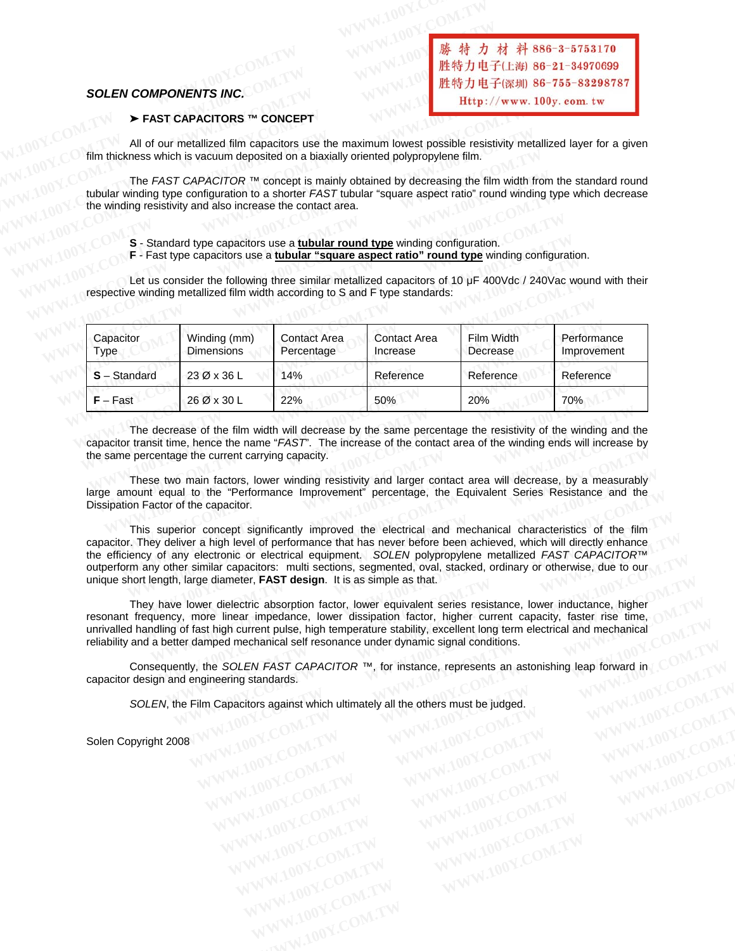#### *SOLEN COMPONENTS INC.*

#### ' **FAST CAPACITORS ™ CONCEPT**

All of our metallized film capacitors use the maximum lowest possible resistivity metallized layer for a given<br> **All of our metallized film capacitors** use the maximum lowest possible resistivity metallized layer for a giv SOLEN COMPONENTS INC.<br>
EXECUTE All of our metallized film capacitors use the maximum lowest possible rest<br>
FAST CAPACITORS ™ CONCEPT<br>
All of our metallized film capacitors use the maximum lowest possible rest<br>
FILM NUMER **SOLEN COMPONENTS INC.**<br>
IMPERIENCE FAST CAPACITORS ™ CONCEPT<br>
All of our metallized film capacitors use the maximum lowest possible resistent<br>
Film thickness which is vacuum deposited on a biaxially oriented polypropylen

film thickness which is vacuum deposited on a biaxially oriented polypropylene film.<br>The FAST CAPACITOR™ concept is mainly obtained by decreasing the use the use in The *FAST CAPACITOR* ™ concept is mainly obtained by decreasing the film width from the standard round tubular winding type configuration to a shorter *FAST* tubular "square aspect ratio" round winding type which decrease the winding resistivity and also increase the contact area. **FAST CAPACITORS ™ CONCEPT**<br>
All of our metallized film capacitors use the maximum lowest possible resistivity metallized film thickness which is vacuum deposited on a biaxially oriented polypropylene film.<br>
The *FAST CAP* **SOLEN COMPONENTS INC.**<br>
→ FAST CAPACITORS ™ CONCEPT<br>
All of our metallized film capacitors use the maximum lowest possible resisti<br>
film thickness which is vacuum deposited on a biaxially oriented polypropylene film.<br>
Th **SOLEN COMPONENTS INC.**<br>
■ FAST CAPACITORS ™ CONCEPT<br>
All of our metallized film capacitors use the maximum lowest possible resistivity<br>
The *FAST CAPACITOR* ™ concept is mainly obtained by decreasing the film<br>
tubular w **SOLEN COMPONENTS INC.**<br> **WEBT/LENCERT FRANCITORS ™ CONCEPT**<br>
All of our metallized film capacitors use the maximum lowest possible resistivity<br>
film thickness which is vacuum deposited on a biaxially oriented polypropyle **SOLEN COMPONENTS INC.**<br> **EXECUTIONS TWO CONCEPT**<br>
All of our metallized film capacitors use the maximum lowest possible resistivity r<br>
film thickness which is vacuum deposited on a biaxially oriented polypropylene film.<br> All of our metallized film capacitors use the maximum lowest possible resistivity met<br>
The *FAST CAPACITOR* ™ concept is mainly obtained by decreasing the film width f<br>
tubular winding type configuration to a shorter *FAS* film thickness which is vacuum deposited on a biaxially oriented polypropylene film.<br>
The *FAST CAPACITOR* ™ concept is mainly obtained by decreasing the film width fro<br>
tubular winding type configuration to a shorter *FA* 

- **S** Standard type capacitors use a **tubular round type** winding configuration.
- **F** Fast type capacitors use a **tubular "square aspect ratio" round type** winding configuration.

Let us consider the following three similar metallized capacitors of 10 µF 400Vdc / 240Vac wound with their<br>respective winding metallized film width according to S and E time attended.

|                   | Let us consider the following three similar metallized capacitors of 10 µF 400Vdc / 240Vac wound with their<br>respective winding metallized film width according to S and F type standards:                                                                                                                                                                                                                                                                                                                                                             |                                   |                                 |                        |                            |
|-------------------|----------------------------------------------------------------------------------------------------------------------------------------------------------------------------------------------------------------------------------------------------------------------------------------------------------------------------------------------------------------------------------------------------------------------------------------------------------------------------------------------------------------------------------------------------------|-----------------------------------|---------------------------------|------------------------|----------------------------|
| Capacitor<br>Type | Winding (mm)<br><b>Dimensions</b>                                                                                                                                                                                                                                                                                                                                                                                                                                                                                                                        | <b>Contact Area</b><br>Percentage | <b>Contact Area</b><br>Increase | Film Width<br>Decrease | Performance<br>Improvement |
| $S - Standard$    | 23 Ø x 36 L                                                                                                                                                                                                                                                                                                                                                                                                                                                                                                                                              | 14%                               | Reference                       | Reference              | Reference                  |
| $F - Fast$        | 26 Ø x 30 L                                                                                                                                                                                                                                                                                                                                                                                                                                                                                                                                              | 22%                               | 50%                             | 20%                    | 70%                        |
|                   | The decrease of the film width will decrease by the same percentage the resistivity of the winding and the<br>capacitor transit time, hence the name "FAST". The increase of the contact area of the winding ends will increase by<br>the same percentage the current carrying capacity.<br>These two main factors, lower winding resistivity and larger contact area will decrease, by a measurably<br>large amount equal to the "Performance Improvement" percentage, the Equivalent Series Resistance and the<br>Dissipation Factor of the capacitor. |                                   |                                 |                        |                            |

 This superior concept significantly improved the electrical and mechanical characteristics of the film capacitor. They deliver a high level of performance that has never before been achieved, which will directly enhance the efficiency of any electronic or electrical equipment. *SOLEN* polypropylene metallized *FAST CAPACITOR*™ outperform any other similar capacitors: multi sections, segmented, oval, stacked, ordinary or otherwise, due to our unique short length, large diameter, **FAST design**. It is as simple as that. These two main factors, lower winding resistivity and larger contact area will decrease, by a measurably large amount equal to the "Performance Improvement" percentage, the Equivalent Series Resistance and the Dissipation **WWW.100Y.COM.TW WWW.100Y.COM.TW WWW.100Y.COM.TW** The decrease of the film width will decrease by the same percentage the resistivity of the winding and the transit time, hence the name "FAST". The increase of the contact area of the winding ends will increase a percentag The decrease of the film width will decrease by the same percentage the resistivity of the winding and the transit time, hence the name "*FAST*". The increase of the contact area of the winding ends will increase by percen arcentage the current carrying capacity.<br>
ese two main factors, lower winding resistivity and larger contact area will decrease, by a measurably<br>
Int equal to the "Performance Improvement" percentage, the Equivalent Series equal to the "Pertormance improvement" percentage, the Equivalent Series Resistance and the<br>tor of the capacitor.<br>superior concept significantly improved the electrical and mechanical characteristics of the film<br>*y* deliv pperior concept significantly improved the electrical and mechanical characteristics of the film<br>deliver a high level of performance that has never before been achieved, which will directly enhance<br>any electronic or elect **We are the symbol of performance that has never before been achieved, which will directly enhance any electronic or electrical equipment. SOLEN polypropylene metallized FAST CAPACITOR™ her similar capacitors: multi secti** 

 They have lower dielectric absorption factor, lower equivalent series resistance, lower inductance, higher resonant frequency, more linear impedance, lower dissipation factor, higher current capacity, faster rise time, unrivalled handling of fast high current pulse, high temperature stability, excellent long term electrical and mechanical reliability and a better damped mechanical self resonance under dynamic signal conditions. **W** exercitor or electrical equipment. Solend the stacked, ordinary or otherwise, due to our property properties, segmented, over equivalent series resistance, lower inductance, higher large diameter, **FAST design**. It is arge diameter, **FAST design**. It is as simple as that.<br>
Were dielectric absorption factor, lower equivalent series resistance, lower inductance, higher<br>
more linear impedance, lower dissipation factor, higher current capa WE dielectric absorption factor, lower equivalent series resistance, lower inductance, higher<br>nore linear impedance, lower dissipation factor, higher current capacity, faster rise time,<br>ast high current pulse, high tempera WWW.100Y.COM.TW **WWW.100Y.COM.TW COM.TW WWW.100Y.COM.TW RWW.100Y.COM.TW RWW.100Y.COM.TW RWW.100Y.COM.TW RWW.100Y.COM.TW RWW.100Y.COM.TW RWW.100Y.COM.TW RWW.100Y.COM.TW RWW.100Y.COM.TW RWW.100Y.COM.TW RWW.100Y.COM.TW RWW.10** 

capacitor design and engineering standards. **EXAMPLE SOLEN FAST CAPACITOR TM, for instance, represents an astonishing leap forward in COMPANY<br>
<b>CAPACITOR TM, for instance, represents an astonishing leap forward in COMPANY<br>
<b>CAPACitors against which ultimately all th SOLEN FAST CAPACITOR ™, for instance, represents an astonishing leap forward in COMPANY**<br> **Expacitors against which ultimately all the others must be judged.**<br>
WWW.100Y.COM.TW WWW.100Y.COM.TW WW.100Y.COM.TW<br>
WW.100Y.COM.

*SOLEN*, the Film Capacitors against which ultimately all the others must be judged.<br>ppyright 2008 Pacifors against which ultimately all the others must be judged.<br>
WWW.100Y.COM.TW WWW.100Y.COM.TW WWW.100Y.COM.TW<br>
WW.100Y.COM.TW WWW.100Y.COM.TW WWW.100Y.COM.TW<br>
WW.100Y.COM.TW WWW.100Y.COM.TW WWW.100Y.COM.TW<br>
WWW.100Y.CO WWW.100Y.COM.TW WWW.100Y.COM.TW WWW.100Y.COM.TW WWW.100Y.COM.TW WWW.100Y.COM.TW WWW.100Y.COM.TW WWW.100Y.COM.TW WWW.100Y.COM.TW WWW.100Y.COM.TW WWW.100Y.COM.TW WWW.100Y.COM.TW WWW.100Y.COM.TW WWW.100Y.COM.TW WWW.100Y.COM.T WWW.100Y.COM.TW WWW.100Y.COM.TW WWW.100Y.COM.TW WWW.100Y.COM.TW WWW.100Y.COM<br>
WWW.100Y.COM.TW WWW.100Y.COM.TW WWW.100Y.COM<br>
WWW.100Y.COM.TW WWW.100Y.COM.TW WWW.100Y.COM<br>
WWW.100Y.COM.TW WWW.100Y.COM.TW WWW.100Y.COM<br>
WWW.10

Solen Copyright 2008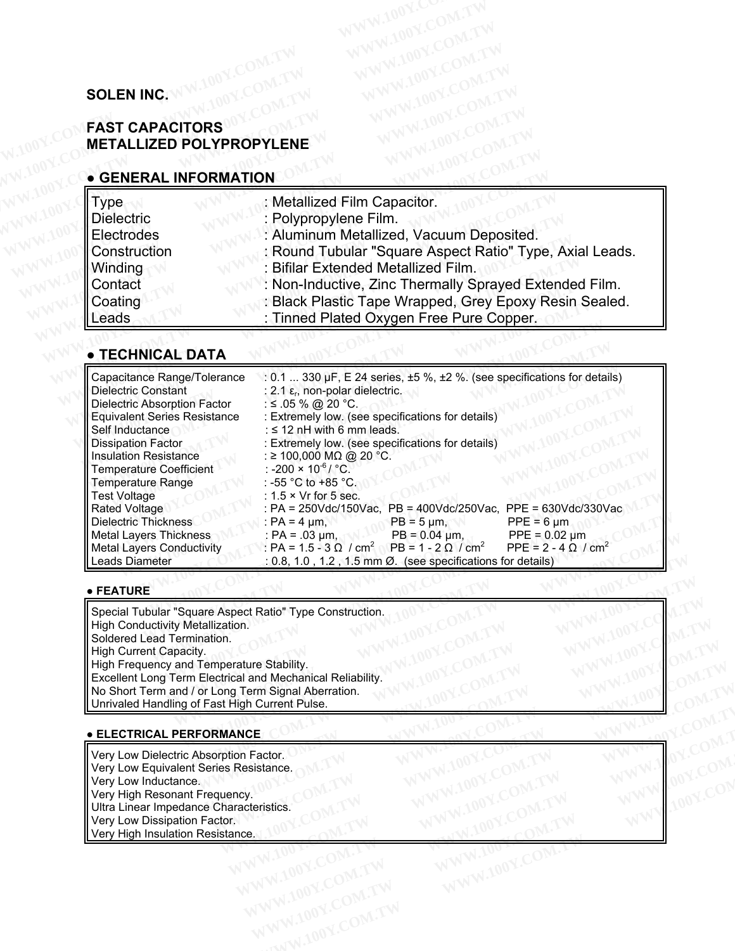# **SOLEN INC.**

# **FAST CAPACITORS METALLIZED POLYPROPYLENE SOLEN INC. WWW.100Y.COM.TW WWW.100Y.COM.TW <b>SOLEN INC. WWW.100Y.COM.TW** WWW.100Y.COM.TW **SOLEN INC. WWW.100Y.COM.TW COM.TW** WWW.100Y.COM.TW **COM.TW** WWW.100Y.COM.TW **COM.TW** WWW.100Y.COM.TW WWW.100Y.COM.TW WWW.100Y.COM. **SOLEN INC. WWW.100Y.COM.TW WWW.100Y.COM.TW SOLEN INC. WW.100Y.COM.TW WWW.100Y.COM.TW WWW.100Y.COM.TW SOLEN INC. WWW.100Y.COM.TW WWW.100Y.COM.TW WWW.100Y.COM.TW WWW.100Y.COM.TW WWW.100Y.COM.TW WWW.100Y.COM.TW WWW.100Y.COM.**

## **● GENERAL INFORMATION**

| <b>SOLEN INC.</b>                                                                                                                |                                                                                                                                                                                                                                                                        |
|----------------------------------------------------------------------------------------------------------------------------------|------------------------------------------------------------------------------------------------------------------------------------------------------------------------------------------------------------------------------------------------------------------------|
| <b>FAST CAPACITORS</b><br><b>METALLIZED POLYPROPYLENE</b>                                                                        |                                                                                                                                                                                                                                                                        |
| <b>• GENERAL INFORMATION</b>                                                                                                     |                                                                                                                                                                                                                                                                        |
| Type                                                                                                                             | : Metallized Film Capacitor.                                                                                                                                                                                                                                           |
| <b>Dielectric</b>                                                                                                                | : Polypropylene Film.                                                                                                                                                                                                                                                  |
| Electrodes                                                                                                                       | : Aluminum Metallized, Vacuum Deposited.                                                                                                                                                                                                                               |
| Construction<br>Winding                                                                                                          | : Round Tubular "Square Aspect Ratio" Type, Axial Leads.<br>: Bifilar Extended Metallized Film.                                                                                                                                                                        |
| Contact                                                                                                                          | : Non-Inductive, Zinc Thermally Sprayed Extended Film.                                                                                                                                                                                                                 |
| Coating                                                                                                                          | : Black Plastic Tape Wrapped, Grey Epoxy Resin Sealed.                                                                                                                                                                                                                 |
| Leads                                                                                                                            | : Tinned Plated Oxygen Free Pure Copper.                                                                                                                                                                                                                               |
|                                                                                                                                  |                                                                                                                                                                                                                                                                        |
| <b>• TECHNICAL DATA</b>                                                                                                          |                                                                                                                                                                                                                                                                        |
| Capacitance Range/Tolerance<br><b>Dielectric Constant</b><br>Dielectric Absorption Factor<br><b>Equivalent Series Resistance</b> | : 0.1  330 $\mu$ F, E 24 series, $\pm$ 5 %, $\pm$ 2 %. (see specifications for details)<br>: 2.1 $\varepsilon_{r}$ , non-polar dielectric.<br>: ≤ .05 % @ 20 °C.<br>: Extremely low. (see specifications for details)<br>بالمرجان ومرومات والمقاربا المراوية والاستقام |

# **● TECHNICAL DATA**

| Contact<br>Coating<br>Leads                                                                                                                                                                                                                                                                                                                                                                                                                  | : Non-Inductive, Zinc Thermally Sprayed Extended Film.<br>: Black Plastic Tape Wrapped, Grey Epoxy Resin Sealed.<br>: Tinned Plated Oxygen Free Pure Copper.                                                                                                                                                                                                                                                                                                                                                                                                                                                                                                                                                                                                                                          |
|----------------------------------------------------------------------------------------------------------------------------------------------------------------------------------------------------------------------------------------------------------------------------------------------------------------------------------------------------------------------------------------------------------------------------------------------|-------------------------------------------------------------------------------------------------------------------------------------------------------------------------------------------------------------------------------------------------------------------------------------------------------------------------------------------------------------------------------------------------------------------------------------------------------------------------------------------------------------------------------------------------------------------------------------------------------------------------------------------------------------------------------------------------------------------------------------------------------------------------------------------------------|
| ● TECHNICAL DATA                                                                                                                                                                                                                                                                                                                                                                                                                             |                                                                                                                                                                                                                                                                                                                                                                                                                                                                                                                                                                                                                                                                                                                                                                                                       |
| Capacitance Range/Tolerance<br><b>Dielectric Constant</b><br>Dielectric Absorption Factor<br><b>Equivalent Series Resistance</b><br>Self Inductance<br><b>Dissipation Factor</b><br><b>Insulation Resistance</b><br><b>Temperature Coefficient</b><br>Temperature Range<br><b>Test Voltage</b><br><b>Rated Voltage</b><br><b>Dielectric Thickness</b><br><b>Metal Layers Thickness</b><br><b>Metal Layers Conductivity</b><br>Leads Diameter | : $0.1$ 330 µF, E 24 series, $\pm 5$ %, $\pm 2$ %. (see specifications for details)<br>: 2.1 $\varepsilon_{r}$ , non-polar dielectric.<br>: ≤ .05 % @ 20 °C.<br>: Extremely low. (see specifications for details)<br>: $\leq$ 12 nH with 6 mm leads.<br>: Extremely low. (see specifications for details)<br>: ≥ 100,000 MΩ @ 20 °C.<br>: -200 × 10 <sup>-6</sup> / °C.<br>: -55 °C to +85 °C.<br>: $1.5 \times Vr$ for 5 sec.<br>: PA = 250Vdc/150Vac, PB = 400Vdc/250Vac, PPE = 630Vdc/330Vac<br>$PB = 5 \mu m$ ,<br>$PPE = 6 \mu m$<br>: PA = 4 $\mu$ m,<br>$PB = 0.04 \mu m$ ,<br>$PPE = 0.02 \mu m$<br>: PA = .03 $\mu$ m,<br>$P = 1.5 - 3 \Omega / cm^2$ PB = 1 - 2 $\Omega / cm^2$<br>PPE = $2 - 4 Ω / cm2$<br>$: 0.8, 1.0, 1.2, 1.5 \text{ mm } \emptyset$ . (see specifications for details) |
| $\blacktriangleright$ FEATURE                                                                                                                                                                                                                                                                                                                                                                                                                |                                                                                                                                                                                                                                                                                                                                                                                                                                                                                                                                                                                                                                                                                                                                                                                                       |
| Special Tubular "Square Aspect Ratio" Type Construction.<br>High Conductivity Metallization.<br>Soldered Lead Termination.<br>High Current Capacity.<br>High Frequency and Temperature Stability.<br>Excellent Long Term Electrical and Mechanical Reliability.<br>No Short Term and / or Long Term Signal Aberration.                                                                                                                       |                                                                                                                                                                                                                                                                                                                                                                                                                                                                                                                                                                                                                                                                                                                                                                                                       |

### **● FEATURE**

Special Tubular "Square Aspect Ratio" Type Construction. High Conductivity Metallization. Soldered Lead Termination. High Current Capacity. High Frequency and Temperature Stability. Excellent Long Term Electrical and Mechanical Reliability. No Short Term and / or Long Term Signal Aberration. Unrivaled Handling of Fast High Current Pulse. CRICKINGS PRESS PRESS PRESS PRESS PRESS PRESS PRESS PRESS PRESS PRESS PRESS PRESS PRESS 2 (Cm<sup>2</sup> PB = 1 - 2 Ω / cm<sup>2</sup> PPE = 2 - 4 Ω / cm<sup>2</sup><br>
(0.8, 1.0, 1.2, 1.5 mm Ø. (see specifications for details)<br> **WEINTY BOOK PRESS P EXECUTE: 1.0.8, 1.0, 1.2, 1.5 mm Ø. (see specifications for details)**<br> **Medilization.**<br> **Medilization.**<br> **Medilization.**<br> **Medilization.**<br> **MEDICITY AND ACCOM.TW**<br> **MEDICITY AND ACCOM.TWREFINE COM.TWREFINE COM.TWREFINE CO WARE Assert Ratio" Type Construction.**<br>
Media Aspect Ratio" Type Construction.<br>
WARD 100Y.COM.TW <br>
MEDIA Assorption Factor.<br> **COM.TW PERIODICAL ASSOCIATION**<br> **COM.TW PERIODICAL ASSOCIATION** COMENT PUBLIC COMENT PUBLIC COM **WWW.100Y.COM.TW WWW.100Y.COM.TW WWW.100Y.COM.TW Example 2008 AND MANUS COM.TW WWW.100Y.COM.TW PRESSURE COM.TW COM.TW PRESSURE COMPANY COMPANY COMPANY COMPANY COMPANY COMPANY COMPANY COMPANY COMPANY COMPANY COMPANY COMPANY COMPANY COMPANY COMPANY COMPANY COMPANY COMPANY Example Stability.**<br>
WWW.100Y.COM.TW <br>
COM.TW **Example Stability.**<br> **EXAMING EXAMINE COM.TW WWW.100Y.COM.TW WWW.100Y.COM.TW**<br> **EXAMING EXAMINE COM.TW WWW.100Y.COM.TW WWW.100Y.COM.TW**<br> **EXAMING EXAMINE COM.TW WWW.100Y.CO Example Stability.**<br>
WANCE THE Signal Aberration.<br>
WANCE COMPANY AND ACOMPANY AND MANY AND COMPANY AND COMPANY<br> **WANCE** COMPANY AND ACOMPANY AND MANY AND COMPANY AND COMPANY<br> **WANCE** COMPANY AND MANY AND COMPANY AND MANY

## **● ELECTRICAL PERFORMANCE**

Very Low Dielectric Absorption Factor. Very Low Equivalent Series Resistance. Very Low Inductance. Very High Resonant Frequency. Ultra Linear Impedance Characteristics. Very Low Dissipation Factor. Very High Insulation Resistance.<br>
Were High Insulation Resistance.<br>
Were High Insulation Resistance. **WWW.100Y.COM.TW WWW.100Y.COM.TW COM.TW COM.TW COM.TW COM.TW COM.TW COM.TW COM.TW COM.TW COM.TW COM.TW COM.TW COM.TW COM.TW COM.TW COM.TW COM.TW COM.TW COM.TW COM.TW COM.TW COM.TW COM.TW COM.TW COM.TW COM.TW COM.TW COM.TW WWW.100Y.COM.TW WWW.100Y.COM.TW WWW.100Y.COM.TW COM.TW WWW.100Y.COM.TW WWW.100Y.COM.TW WWW.100Y.COM.TW WWW.100Y.COM.TW WWW.100Y.COM.TW WWW.100Y.COM.TW WWW.100Y.COM.TW WWW.100Y.COM.TW WWW.100Y.COM.TW WWW.100Y.COM.TW WWW.10 ICE. COMPANY AND ANTENT WWW.100Y.COM.TW WWW.100Y.COM.TW WWW.100Y.COM.TW WWW.100Y.COM.TW WWW.100Y.COM.TW WWW.100Y.COM.TW WWW.100Y.COM.TW WWW.100Y.COM.TW WWW.100Y.COM.TW WWW.100Y.COM.TW WWW.100Y.COM.TW WWW.100Y.COM.TW WWW.1 Factor. COM.TW AWWW.100Y.COM.TW COM.TW AWW.100Y.COM.TW AWWW.100Y.COM.TW AWWW.100Y.COM.TW AWWW.100Y.COM.TW AWWW.100Y.COM.TW AWWW.100Y.COM.TW AWWW.100Y.COM.TW AWWW.100Y.COM.TW AWWW.100Y.COM.TW AWWW.100Y.COM.TW AWWW.100Y.COM WWW.100Y.COM.TW WWW.100Y.COM.TW AWW.100Y.COM.TW WWW.100Y.COM.TW WWW.100Y.COM.TW WWW.100Y.COM.TW WWW.100Y.COM.TW WWW.100Y.COM.TW WWW.100Y.COM.TW WWW.100Y.COM.TW WWW.100Y.COM.TW WWW.100Y.COM.TW WWW.100Y.COM.TW WWW.100Y.COM.**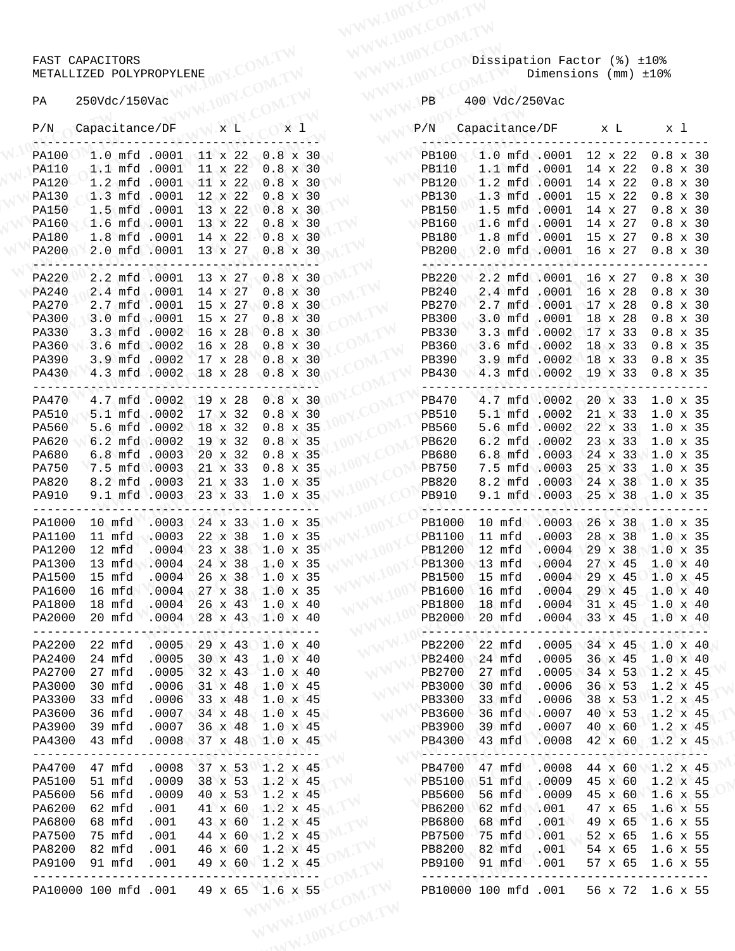|                              | FAST CAPACITORS                      |                  |                                                  |                                    |       |                                   | Dissipation Factor (%) ±10%                     |                      |                    |                               |  |
|------------------------------|--------------------------------------|------------------|--------------------------------------------------|------------------------------------|-------|-----------------------------------|-------------------------------------------------|----------------------|--------------------|-------------------------------|--|
|                              | METALLIZED POLYPROPYLENE             |                  |                                                  |                                    |       |                                   |                                                 | Dimensions (mm) ±10% |                    |                               |  |
|                              |                                      |                  |                                                  |                                    |       |                                   |                                                 |                      |                    |                               |  |
| PA                           | 250Vdc/150Vac                        |                  |                                                  |                                    |       | PB                                | 400 Vdc/250Vac                                  |                      |                    |                               |  |
|                              | P/N Capacitance/DF                   |                  | $\mathbf{x}$ $\mathbf{L}$                        | x <sub>1</sub>                     |       | P/N                               | Capacitance/DF x L x l                          |                      |                    |                               |  |
|                              | PA100 1.0 mfd .0001 11 x 22 0.8 x 30 |                  |                                                  |                                    |       | PB100 1.0 mfd .0001 12 x 22 0.8 x |                                                 |                      |                    |                               |  |
| <b>PA110</b>                 |                                      |                  | 1.1 mfd .0001 11 x 22 0.8 x 30                   |                                    |       | PB110                             | 1.1 mfd .0001 14 x 22 0.8 x                     |                      |                    |                               |  |
| <b>PA120</b>                 |                                      |                  | 1.2 mfd .0001 11 x 22 0.8 x 30                   |                                    |       | PB120 1.2 mfd .0001               |                                                 |                      | $14 \times 22$     | $0.8 \times$                  |  |
| <b>PA130</b>                 | $1.3$ mfd $.0001$                    |                  | $12 \times 22$<br>1.5 mfd .0001 13 x 22 0.8 x 30 | $0.8 \times 30$                    |       | <b>PB130</b>                      | 1.3 mfd .0001 15 x 22                           |                      |                    | $0.8 \times$<br>14 x 27 0.8 x |  |
| <b>PA150</b><br><b>PA160</b> |                                      |                  | $1.6 \text{ mfd} 0001 13 \times 22$              | $0.8 \times 30$                    |       | <b>PB150</b><br>PB160             | $1.5$ mfd $.0001$<br>$1.6$ mfd $.0001$          |                      |                    | 14 x 27 0.8 x                 |  |
| <b>PA180</b>                 |                                      |                  | 1.8 mfd .0001 14 x 22 0.8 x 30                   |                                    |       | <b>PB180</b>                      | 1.8 mfd .0001 15 x 27 0.8 x                     |                      |                    |                               |  |
| <b>PA200</b>                 |                                      |                  | 2.0 mfd .0001 13 x 27 0.8 x 30                   |                                    |       | <b>PB200</b>                      | 2.0 mfd .0001 16 x 27 0.8 x                     |                      |                    |                               |  |
| <b>PA220</b>                 |                                      |                  | 2.2 mfd .0001 13 x 27 0.8 x 30                   |                                    |       | فمالات بالكاكب                    | PB220 2.2 mfd .0001 16 x 27 0.8 x               |                      |                    |                               |  |
| PA240                        | 2.4 mfd .0001 14 x 27 0.8 x 30       |                  |                                                  |                                    |       | <b>PB240</b>                      | 2.4 mfd .0001 16 x 28 0.8 x                     |                      |                    |                               |  |
| <b>PA270</b>                 | 2.7 mfd .0001                        |                  | 15 x 27 0.8 x 30                                 |                                    |       | <b>PB270</b>                      | 2.7 mfd .0001 17 x 28 0.8 x                     |                      |                    |                               |  |
| <b>PA300</b>                 | 3.0 mfd .0001                        |                  | $15 \times 27$                                   | $0.8 \times 30$                    |       | <b>PB300</b>                      | 3.0 mfd .0001                                   |                      | $18 \times 28$     | $0.8 \times$                  |  |
| <b>PA330</b>                 |                                      |                  | 3.3 mfd .0002 16 x 28 0.8 x 30                   |                                    |       | <b>PB330</b>                      | 3.3 mfd .0002 17 x 33                           |                      |                    | $0.8 \times$                  |  |
| PA360                        |                                      |                  | 3.6 mfd .0002 16 x 28                            | $0.8 \times 30$                    |       | PB360                             | 3.6 mfd .0002                                   |                      |                    | 18 x 33 0.8 x                 |  |
| PA390                        |                                      |                  | 3.9 mfd .0002 17 x 28 0.8 x 30                   |                                    |       | PB390                             | 3.9 mfd .0002 18 x 33 0.8 x                     |                      |                    |                               |  |
| <b>PA430</b>                 |                                      |                  | 4.3 mfd .0002 18 x 28 0.8 x 30                   |                                    |       | PB430                             | 4.3 mfd .0002 19 x 33 0.8 x                     |                      |                    |                               |  |
| <b>PA470</b>                 |                                      |                  | 4.7 mfd .0002 19 x 28 0.8 x 30                   |                                    |       | PB470                             | 4.7 mfd .0002 20 x 33 1.0 x                     |                      |                    |                               |  |
| <b>PA510</b>                 |                                      |                  | 5.1 mfd .0002 17 x 32 0.8 x 30                   |                                    |       | <b>PB510</b>                      | 5.1 mfd .0002                                   |                      |                    | 21 x 33 1.0 x                 |  |
| PA560                        |                                      |                  | 5.6 mfd .0002 18 x 32                            | $0.8 \times 35$                    |       | PB560                             | 5.6 mfd .0002                                   |                      |                    | 22 x 33 1.0 x                 |  |
| PA620                        | 6.2 mfd .0002                        |                  | $19 \times 32$                                   | $0.8 \times 35$                    |       | PB620                             | 6.2 mfd .0002                                   |                      | 23 x 33            | 1.0 x                         |  |
| PA680<br><b>PA750</b>        |                                      |                  | 6.8 mfd .0003 20 x 32<br>7.5 mfd .0003 21 x 33   | $0.8 \times 35$<br>$0.8 \times 35$ |       | PB680<br><b>PB750</b>             | 6.8 mfd .0003<br>7.5 mfd .0003                  |                      | 25 x 33            | 24 x 33 1.0 x<br>$1.0 \times$ |  |
| PA820                        |                                      |                  | 8.2 mfd .0003 21 x 33                            | $1.0 \times 35$                    |       | <b>PB820</b>                      | 8.2 mfd .0003 24 x 38 1.0 x                     |                      |                    |                               |  |
| <b>PA910</b>                 |                                      |                  | $9.1$ mfd $.0003 - 23$ x 33                      | $1.0 \times 35$                    |       | <b>PB910</b>                      | 9.1 mfd .0003 25 x 38                           |                      |                    | $1.0 \times$                  |  |
| PA1000                       | 10 mfd                               | .0003            | 24 x 33                                          | $1.0 \times 35$                    |       | PB1000                            | 10 mfd                                          | .0003                | 26 x 38            | 1.0 x                         |  |
| PA1100                       | 11 mfd                               | .0003            | 22 x 38                                          | $1.0 \times 35$                    |       | <b>PB1100</b>                     | 11 mfd                                          | .0003                | 28 x 38            | $1.0$ $x$                     |  |
| PA1200                       | 12 mfd                               | .0004            | 23 x 38                                          | $1.0 \times 35$                    |       | PB1200                            | 12 mfd                                          | .0004                | 29 x 38            | 1.0 x                         |  |
| PA1300                       | 13 mfd                               | .0004            | 24 x 38                                          | $1.0 \times 35$                    |       | <b>PB1300</b>                     | 13 mfd                                          | .0004                | 27 x 45            | 1.0 x                         |  |
| PA1500                       | 15 mfd                               | .0004            | 26 x 38                                          | $1.0 \times 35$                    |       | <b>PB1500</b>                     | 15 mfd                                          | .0004                | 29 x 45            | 1.0 x                         |  |
| PA1600                       | 16 mfd                               | .0004            | 27 x 38                                          | $1.0 \times 35$                    |       | PB1600                            | $16$ mfd                                        | .0004                | 29 x 45            | 1.0 x                         |  |
| PA1800                       | 18 mfd                               | .0004            | 26 x 43                                          | $1.0 \times 40$                    |       | <b>PB1800</b>                     | 18 mfd                                          | .0004                | $31 \times 45$     | $1.0 \times$                  |  |
| PA2000<br>$- - - - - - -$    | 20 mfd                               | .0004            | 28 x 43 1.0 x 40                                 |                                    | $---$ | PB2000<br>------                  | $-20$ mfd<br>سائلا تم                           | $.0004 -$            | 33 x 45            | $1.0 \times$                  |  |
| PA2200                       | 22 mfd                               | .0005            | 29 x 43 1.0 x 40                                 |                                    |       | PB2200                            | 22 mfd                                          | .0005                | $34 \times 45$     | 1.0 x                         |  |
| PA2400                       | 24 mfd                               | .0005            | 30 x 43                                          | $1.0 \times 40$                    |       | PB2400                            | 24 mfd                                          | .0005                | 36 x 45            | 1.0 x                         |  |
| PA2700                       | 27 mfd                               | .0005            | $32 \times 43$                                   | $1.0 \times 40$                    |       | PB2700                            | 27 mfd                                          | .0005                | $34 \times 53$     | $1.2 \times$                  |  |
| PA3000                       | 30 mfd                               | .0006            | $31 \times 48$                                   | $1.0 \times 45$                    |       | <b>PB3000</b>                     | 30 mfd                                          | .0006                | 36 x 53            | $1.2 \times$                  |  |
| PA3300<br>PA3600             | 33 mfd                               | .0006<br>.0007   | $33 \times 48$                                   | $1.0 \times 45$                    |       | PB3300                            | 33 mfd<br>36 mfd                                | .0006                | 38 x 53            | $1.2 \times$                  |  |
| PA3900                       | 36 mfd<br>39 mfd                     | .0007            | 34 x 48<br>36 x 48                               | $1.0 \times 45$<br>$1.0 \times 45$ |       | PB3600<br><b>PB3900</b>           | 39 mfd                                          | .0007<br>.0007       | 40 x 53<br>40 x 60 | 1.2 x<br>1.2 x                |  |
| PA4300                       | 43 mfd                               | .0008            | 37 x 48 1.0 x 45                                 |                                    |       | PB4300                            | 43 mfd                                          | .0008                | 42 x 60            | $1.2 \times$                  |  |
| PA4700                       | --------<br>47 mfd                   | -------<br>.0008 | --------<br>37 x 53                              | ----------<br>$1.2 \times 45$      |       | PB4700                            | رد د د که کارهان تهیچ د د د تلا کام<br>$47$ mfd | -------<br>.0008     | --------           | 44 x 60 1.2 x                 |  |
| PA5100                       | 51 mfd                               | .0009            | 38 x 53 1.2 x 45                                 |                                    |       | <b>PB5100</b>                     | 51 mfd                                          | .0009                | 45 x 60            | $1.2 \times$                  |  |
| PA5600                       | 56 mfd                               | .0009            | 40 x 53                                          | $1.2 \times 45$                    |       | PB5600                            | 56 mfd                                          | .0009                | 45 x 60            | 1.6 x                         |  |
| PA6200                       | 62 mfd                               | .001             | 41 x 60                                          | $1.2 \times 45$                    |       | PB6200                            | 62 mfd                                          | .001                 | 47 x 65            | 1.6 x                         |  |
| PA6800                       | 68 mfd                               | .001             | 43 x 60                                          | $1.2 \times 45$                    |       | PB6800                            | 68 mfd                                          | .001                 | 49 x 65            | 1.6 x                         |  |
| PA7500                       | 75 mfd                               | .001             | 44 x 60                                          | $1.2 \times 45$                    |       | <b>PB7500</b>                     | 75 mfd                                          | .001                 | 52 x 65            | 1.6 x                         |  |
| PA8200                       | 82 mfd                               | .001             | 46 x 60                                          | $1.2 \times 45$                    |       | <b>PB8200</b>                     | 82 mfd                                          | .001                 | 54 x 65            | 1.6 x                         |  |
| PA9100                       | 91 mfd                               | .001             | 49 x 60                                          | $1.2 \times 45$                    |       | PB9100                            | 91 mfd                                          | $\sim$ .001          | 57 x 65            | 1.6 x                         |  |
|                              | PA10000 100 mfd .001                 |                  | 49 x 65 1.6 x 55                                 |                                    |       |                                   | PB10000 100 mfd .001                            |                      |                    | 56 x 72 1.6 x                 |  |
|                              |                                      |                  |                                                  |                                    |       |                                   |                                                 |                      |                    |                               |  |

#### FAST CAPACITORS AND RESERVE TO A RESERVE THAT CAPACITORS AND RESERVE TO A RESERVE TO A RESERVE TO A RESERVE TO METALLIZED POLYPROPYLENE DIMENSIONS (mm)  $\pm 10$ %

#### PA 250Vdc/150Vac 100 PB 400 Vdc/250Vac

|                  | MEIALLIZED POLIPROPILENE                                                  |                           |                |  | V.100Y.COM.                    |     |                                                                                            |                                                                         | DIMENSIONS (MM) ±10%      |                                 |                  |  |  |
|------------------|---------------------------------------------------------------------------|---------------------------|----------------|--|--------------------------------|-----|--------------------------------------------------------------------------------------------|-------------------------------------------------------------------------|---------------------------|---------------------------------|------------------|--|--|
| PA               | 250Vdc/150Vac                                                             |                           |                |  |                                |     | PB                                                                                         | 400 Vdc/250Vac                                                          |                           |                                 |                  |  |  |
|                  | P/N Capacitance/DF                                                        |                           | $X$ L          |  |                                | x 1 | P/N                                                                                        | Capacitance/DF x L x l                                                  |                           |                                 |                  |  |  |
| <b>PA100</b>     | 1.0 mfd .0001 11 x 22 0.8 x 30                                            |                           |                |  |                                |     | <b>PB100</b>                                                                               | $1.0$ mfd $.0001$ $12$ $x$ $22$                                         |                           |                                 | $0.8 \times 30$  |  |  |
| PA110            | 1.1 mfd .0001                                                             |                           | $11 \times 22$ |  | $0.8 \times 30$                |     | <b>PB110</b>                                                                               | 1.1 mfd .0001                                                           |                           | 14 x 22                         | $0.8 \times 30$  |  |  |
| PA120            | 1.2 mfd .0001 11 x 22                                                     |                           |                |  |                                |     | $0.8 \times 30$<br>$0.8 \times 30$<br>$0.8 \times 30$<br>$0.8 \times 30$<br>PB130<br>PB150 | 1.2 mfd .0001                                                           |                           | 14 x 22                         | $0.8 \times 30$  |  |  |
| PA130            | 1.3 mfd .0001 12 x 22                                                     |                           |                |  |                                |     |                                                                                            | 1.3 mfd .0001 15 x 22                                                   |                           |                                 | $0.8 \times 30$  |  |  |
| PA150            | 1.5 mfd .0001 13 x 22 0.8 x 30                                            |                           |                |  |                                |     | <b>PB150</b>                                                                               | $1.5$ mfd $.0001$ 14 x 27                                               |                           |                                 | $0.8 \times 30$  |  |  |
| PA160            | 1.6 mfd .0001 13 x 22                                                     |                           |                |  | $0.8 \times 30$                |     | <b>PB160</b>                                                                               | 1.6 mfd .0001                                                           |                           | $14 \times 27$                  | $0.8 \times 30$  |  |  |
| PA180            | 1.8 mfd .0001 14 x 22 0.8 x 30                                            |                           |                |  |                                |     | <b>PB180</b>                                                                               | 1.8 mfd .0001 15 x 27                                                   |                           |                                 | $0.8 \times 30$  |  |  |
| PA200            | 2.0 mfd .0001 13 x 27 0.8 x 30                                            |                           |                |  |                                |     | <b>PB200</b>                                                                               | 2.0 mfd .0001 16 x 27                                                   |                           |                                 | $0.8 \times 30$  |  |  |
| PA220            | 2.2 mfd .0001 13 x 27 0.8 x 30                                            |                           |                |  |                                |     | <b>PB220</b>                                                                               | 2.2 mfd .0001 16 x 27                                                   |                           |                                 | $0.8 \times 30$  |  |  |
| PA240            | 2.4 mfd .0001 14 x 27 0.8 x 30                                            |                           |                |  |                                |     | <b>PB240</b>                                                                               | 2.4 mfd .0001 16 x 28                                                   |                           |                                 | $0.8 \times 30$  |  |  |
| PA270            | 2.7 mfd .0001 15 x 27                                                     |                           |                |  | $0.8 \times 30$                |     | <b>PB270</b>                                                                               | 2.7 mfd .0001 17 x 28                                                   |                           |                                 | $0.8 \times 30$  |  |  |
| PA300            | 3.0 mfd .0001 15 x 27                                                     |                           |                |  | $0.8 \times 30$                |     | PB300                                                                                      | 3.0 mfd .0001                                                           |                           | $18 \times 28$                  | $0.8 \times 30$  |  |  |
| PA330            | 3.3 mfd .0002 16 x 28 0.8 x 30                                            |                           |                |  |                                |     | <b>PB330</b>                                                                               | 3.3 mfd .0002 17 x 33                                                   |                           |                                 | $0.8 \times 35$  |  |  |
| PA360            | 3.6 mfd .0002 16 x 28 0.8 x 30                                            |                           |                |  |                                |     | PB360                                                                                      | 3.6 mfd .0002 18 x 33                                                   |                           |                                 | $0.8 \times 35$  |  |  |
| PA390            | 3.9 mfd .0002 17 x 28 0.8 x 30                                            |                           |                |  |                                |     | PB390<br><b>PB430</b>                                                                      | 3.9 mfd .0002 18 x 33 0.8 x 35                                          |                           |                                 |                  |  |  |
| PA430            | 4.3 mfd.0002 18 x 28 0.8 x 30                                             |                           |                |  |                                |     | ------                                                                                     | 4.3 mfd .0002 19 x 33                                                   |                           |                                 | $0.8 \times 35$  |  |  |
| PA470            | 4.7 mfd .0002 19 x 28 0.8 x 30                                            |                           |                |  |                                |     | PB470                                                                                      | 4.7 mfd .0002 20 x 33 1.0 x 35                                          |                           |                                 |                  |  |  |
| PA510            | 5.1 mfd .0002 17 x 32                                                     |                           |                |  | $0.8 \times 30$                |     | <b>PB510</b>                                                                               | 5.1 mfd .0002                                                           |                           | 21 x 33 1.0 x 35                |                  |  |  |
| PA560            | 5.6 mfd .0002 18 x 32                                                     |                           |                |  | $0.8 \times 35$                |     | PB560                                                                                      | 5.6 mfd .0002 22 x 33 1.0 x 35                                          |                           |                                 |                  |  |  |
| PA620            | 6.2 mfd .0002                                                             |                           | 19 x 32        |  | $0.8 \times 35$                |     | PB620                                                                                      | $6.2 \text{ mfd} 0002$                                                  |                           | 23 x 33                         | $1.0 \times 35$  |  |  |
| PA680            | 6.8 mfd .0003 20 x 32                                                     |                           |                |  | $0.8 \times 35$                |     | PB680                                                                                      | 6.8 mfd .0003 24 x 33 1.0 x 35                                          |                           |                                 |                  |  |  |
| PA750            | 7.5 mfd .0003 21 x 33                                                     |                           |                |  | $0.8 \times 35$                |     | <b>PB750</b>                                                                               | 7.5 mfd .0003 25 x 33                                                   |                           |                                 | $1.0 \times 35$  |  |  |
| PA820            | 8.2 mfd .0003 21 x 33 1.0 x 35                                            |                           |                |  |                                |     | <b>PB820</b>                                                                               | 8.2 mfd .0003 24 x 38 1.0 x 35                                          |                           |                                 |                  |  |  |
| PA910            | 9.1 mfd .0003 23 x 33 1.0 x 35<br>__W_\______@QQ\`_______Q_Y\_________Y\_ |                           |                |  |                                |     | <b>PB910</b>                                                                               | 9.1 mfd .0003 25 x 38 1.0 x 35                                          |                           |                                 |                  |  |  |
| PA1000           | $10$ mfd                                                                  | $.0003$ 24 x 33 1.0 x 35  |                |  |                                |     | PB1000                                                                                     | 10 mfd .0003 26 x 38 1.0 x 35                                           |                           |                                 |                  |  |  |
| PA1100           | 11 $mfd$                                                                  | .0003                     | $22 \times 38$ |  | $1.0 \times 35$                |     | <b>PB1100</b>                                                                              | $11 \text{ mfd}$                                                        | .0003                     | 28 x 38 1.0 x 35                |                  |  |  |
| PA1200           | 12 mfd                                                                    | .0004                     | 23 x 38        |  | $1.0 \times 35$                |     | <b>PB1200</b>                                                                              | 12 mfd                                                                  | $.0004$ 29 x 38 1.0 x 35  |                                 |                  |  |  |
| PA1300           | 13 $mfd$                                                                  | .0004                     | 24 x 38        |  | $1.0 \times 35$                |     | <b>PB1300</b>                                                                              | $13$ mfd                                                                | .0004                     | 27 x 45 1.0 x 40                |                  |  |  |
| PA1500           | 15 mfd                                                                    | .0004                     | $26 \times 38$ |  | $1.0 \times 35$                |     | <b>PB1500</b>                                                                              | 15 mfd                                                                  | $.0004$ 29 x 45 1.0 x 45  |                                 |                  |  |  |
| PA1600           | $16$ mfd                                                                  | $.0004$ 27 x 38 1.0 x 35  |                |  |                                |     | <b>PB1600</b>                                                                              | $16$ mfd                                                                | .0004                     | $-29 \times 45$ 1.0 $\times$ 40 |                  |  |  |
| PA1800           | 18 mfd                                                                    | .0004                     | $26 \times 43$ |  | $1.0 \times 40$                |     | <b>PB1800</b>                                                                              | 18 mfd                                                                  | $.0004$ 31 x 45 1.0 x 40  |                                 |                  |  |  |
|                  | PA2000 20 mfd                                                             | $.0004$ 28 x 43 1.0 x 40  |                |  |                                |     |                                                                                            | PB2000 20 mfd .0004 33 x 45 1.0 x 40                                    |                           |                                 |                  |  |  |
| PA2200           | 22 mfd                                                                    | .0005                     |                |  | 29 x 43 1.0 x 40               |     | PB2200                                                                                     | 22 mfd                                                                  | $.0005$ 34 x 45 1.0 x 40  |                                 |                  |  |  |
| PA2400           | 24 mfd                                                                    | .0005                     | $30 \times 43$ |  | $1.0 \times 40$                |     | PB2400                                                                                     | $24$ mfd                                                                | .0005                     | 36 x 45                         | $1.0 \times 40$  |  |  |
| PA2700           | 27 mfd                                                                    | .0005                     | $32 \times 43$ |  | $1.0 \times 40$                |     | <b>PB2700</b>                                                                              | 27 mfd                                                                  | .0005                     | $34 \times 53$ 1.2 $\times$ 45  |                  |  |  |
| PA3000           | 30 mfd                                                                    | .0006                     | $31 \times 48$ |  | $1.0 \times 45$                |     | PB3000                                                                                     | 30 mfd                                                                  | .0006                     | $36 \times 53$                  | $1.2 \times 45$  |  |  |
| PA3300           | 33 mfd                                                                    | .0006                     | $33 \times 48$ |  | $1.0 \times 45$                |     | PB3300                                                                                     | 33 mfd                                                                  | .0006                     | 38 x 53 1.2 x 45                |                  |  |  |
| PA3600           | 36 mfd                                                                    | .0007                     |                |  | $34 \times 48$ 1.0 $\times$ 45 |     | PB3600                                                                                     | $-36$ mfd                                                               | $\blacksquare$ .0007      | 40 x 53 1.2 x 45                |                  |  |  |
| PA3900           | 39 mfd                                                                    | .0007                     | 36 x 48        |  | $1.0 \times 45$                |     | <b>PB3900</b>                                                                              | 39 mfd                                                                  | $.0007$ 40 x 60 1.2 x 45  |                                 |                  |  |  |
| PA4300<br>------ | 43 mfd<br>-------                                                         |                           |                |  | - - - - - - - - - -            |     | $.0008$ 37 x 48 1.0 x 45<br>- كىلاتاك تەھرىدىك كاللاتا                                     | PB4300 43 mfd .0008 42 x 60 1.2 x 45                                    |                           |                                 |                  |  |  |
| PA4700           | 47 mfd                                                                    | .0008                     | 37 x 53        |  | $1.2 \times 45$                |     | PB4700                                                                                     | $47$ mfd                                                                | .0008                     |                                 | 44 x 60 1.2 x 45 |  |  |
| PA5100           | 51 mfd                                                                    | .0009                     | 38 x 53        |  |                                |     | $1.2 \times 45$<br>PB5100                                                                  | 51 mfd                                                                  | .0009                     | 45 x 60                         | $1.2 \times 45$  |  |  |
| PA5600           | 56 mfd                                                                    | .0009                     | 40 x 53        |  | $1.2 \times 45$                |     | PB5600                                                                                     | 56 mfd                                                                  | .0009                     | 45 x 60 1.6 x 55                |                  |  |  |
| PA6200           | 62 mfd                                                                    | .001                      | 41 x 60        |  | $1.2 \times 45$                |     | PB6200                                                                                     | 62 mfd                                                                  | .001                      |                                 | 47 x 65 1.6 x 55 |  |  |
| PA6800           | 68 mfd                                                                    | .001                      | 43 x 60        |  | $1.2 \times 45$                |     | PB6800                                                                                     | 68 mfd                                                                  | .001                      |                                 | 49 x 65 1.6 x 55 |  |  |
| PA7500           | 75 mfd                                                                    | .001                      |                |  | 44 x 60 1.2 x 45               |     | PB7500 75 mfd                                                                              |                                                                         | 0.001                     |                                 | 52 x 65 1.6 x 55 |  |  |
| PA8200           | 82 mfd                                                                    | .001                      |                |  | 46 x 60 1.2 x 45               |     | PB8200 82 mfd                                                                              |                                                                         | .001                      |                                 | 54 x 65 1.6 x 55 |  |  |
| PA9100           | 91 mfd .001<br>--------                                                   | ------------------------- |                |  | 49 x 60 1.2 x 45               |     |                                                                                            | PB9100 91 mfd .001 57 x 65 1.6 x 55<br>د د د د کالم بلولیا کويه د د د د | ------------------------- |                                 |                  |  |  |
|                  | PA10000 100 mfd .001 49 x 65 1.6 x 55                                     |                           |                |  |                                |     | WWW.100Y.COM.TW                                                                            | PB10000 100 mfd .001 56 x 72 1.6 x 55                                   |                           |                                 |                  |  |  |
|                  |                                                                           |                           |                |  |                                |     | WW.100Y.COM.TW                                                                             |                                                                         |                           |                                 |                  |  |  |
|                  |                                                                           |                           |                |  |                                |     |                                                                                            |                                                                         |                           |                                 |                  |  |  |
|                  |                                                                           |                           |                |  |                                |     |                                                                                            |                                                                         |                           |                                 |                  |  |  |